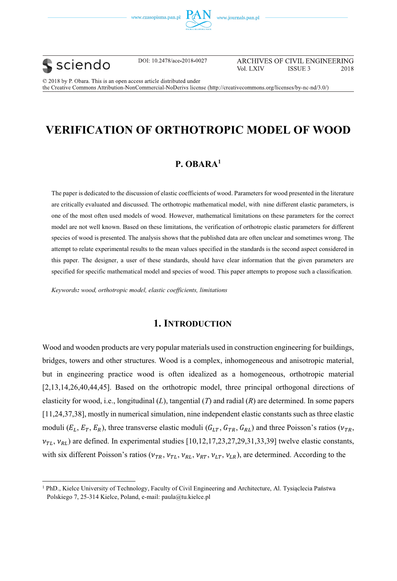





 $\overline{a}$ 

DOI: 10.2478/ace-2018-0027

ARCHIVES OF CIVIL ENGINEERING Vol. LXIV **ISSUE 3** 2018

© 2018 by P. Obara. This is an open access article distributed under the Creative Commons Attribution-NonCommercial-NoDerivs license (http://creativecommons.org/licenses/by-nc-nd/3.0/)

# **VERIFICATION OF ORTHOTROPIC MODEL OF WOOD**

## **P. OBARA1**

The paper is dedicated to the discussion of elastic coefficients of wood. Parameters for wood presented in the literature are critically evaluated and discussed. The orthotropic mathematical model, with nine different elastic parameters, is one of the most often used models of wood. However, mathematical limitations on these parameters for the correct model are not well known. Based on these limitations, the verification of orthotropic elastic parameters for different species of wood is presented. The analysis shows that the published data are often unclear and sometimes wrong. The attempt to relate experimental results to the mean values specified in the standards is the second aspect considered in this paper. The designer, a user of these standards, should have clear information that the given parameters are specified for specific mathematical model and species of wood. This paper attempts to propose such a classification.

*Keywords: wood, orthotropic model, elastic coefficients, limitations*

## **1. INTRODUCTION**

Wood and wooden products are very popular materials used in construction engineering for buildings, bridges, towers and other structures. Wood is a complex, inhomogeneous and anisotropic material, but in engineering practice wood is often idealized as a homogeneous, orthotropic material [2,13,14,26,40,44,45]. Based on the orthotropic model, three principal orthogonal directions of elasticity for wood, i.e., longitudinal (*L*), tangential (*T*) and radial (*R*) are determined. In some papers [11,24,37,38], mostly in numerical simulation, nine independent elastic constants such as three elastic moduli  $(E_L, E_T, E_R)$ , three transverse elastic moduli  $(G_{LT}, G_{TR}, G_{RL})$  and three Poisson's ratios ( $\nu_{TR}$ ,  $v_{TL}$ ,  $v_{RL}$ ) are defined. In experimental studies [10,12,17,23,27,29,31,33,39] twelve elastic constants, with six different Poisson's ratios ( $v_{TR}$ ,  $v_{TL}$ ,  $v_{RL}$ ,  $v_{RT}$ ,  $v_{LT}$ ,  $v_{LR}$ ), are determined. According to the

<sup>&</sup>lt;sup>1</sup> PhD., Kielce University of Technology, Faculty of Civil Engineering and Architecture, Al. Tysiąclecia Państwa Polskiego 7, 25-314 Kielce, Poland, e-mail: paula@tu.kielce.pl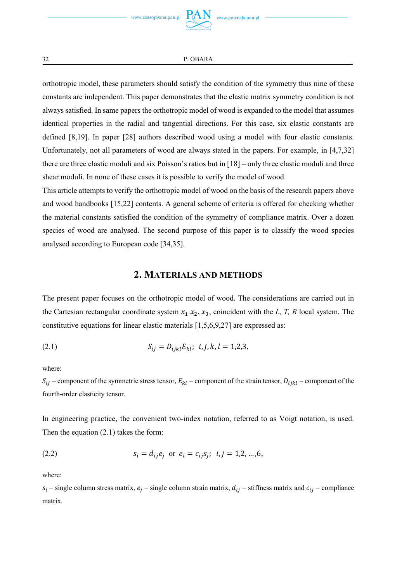

orthotropic model, these parameters should satisfy the condition of the symmetry thus nine of these constants are independent. This paper demonstrates that the elastic matrix symmetry condition is not always satisfied. In same papers the orthotropic model of wood is expanded to the model that assumes identical properties in the radial and tangential directions. For this case, six elastic constants are defined [8,19]. In paper [28] authors described wood using a model with four elastic constants. Unfortunately, not all parameters of wood are always stated in the papers. For example, in [4,7,32] there are three elastic moduli and six Poisson's ratios but in [18] – only three elastic moduli and three shear moduli. In none of these cases it is possible to verify the model of wood.

This article attempts to verify the orthotropic model of wood on the basis of the research papers above and wood handbooks [15,22] contents. A general scheme of criteria is offered for checking whether the material constants satisfied the condition of the symmetry of compliance matrix. Over a dozen species of wood are analysed. The second purpose of this paper is to classify the wood species analysed according to European code [34,35].

## **2. MATERIALS AND METHODS**

The present paper focuses on the orthotropic model of wood. The considerations are carried out in the Cartesian rectangular coordinate system  $x_1$ ,  $x_2$ ,  $x_3$ , coincident with the *L*, *T*, *R* local system. The constitutive equations for linear elastic materials [1,5,6,9,27] are expressed as:

(2.1) 
$$
S_{ij} = D_{ijkl} E_{kl}; \ \ i, j, k, l = 1, 2, 3,
$$

where:

 $S_{ij}$  – component of the symmetric stress tensor,  $E_{kl}$  – component of the strain tensor,  $D_{ijkl}$  – component of the fourth-order elasticity tensor.

In engineering practice, the convenient two-index notation, referred to as Voigt notation, is used. Then the equation (2.1) takes the form:

(2.2) 
$$
s_i = d_{ij}e_j \text{ or } e_i = c_{ij}s_j; i, j = 1, 2, ..., 6,
$$

where:

 $s_i$  – single column stress matrix,  $e_i$  – single column strain matrix,  $d_{ij}$  – stiffness matrix and  $c_{ij}$  – compliance matrix.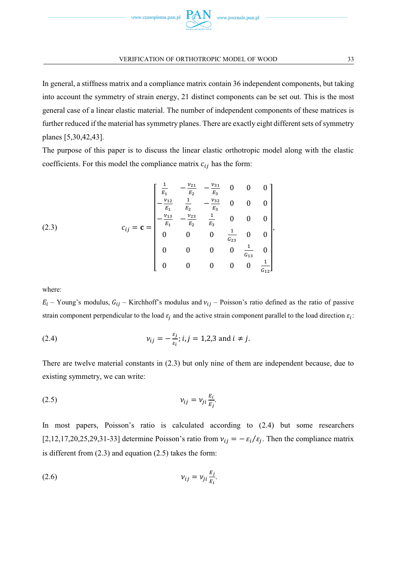

In general, a stiffness matrix and a compliance matrix contain 36 independent components, but taking into account the symmetry of strain energy, 21 distinct components can be set out. This is the most general case of a linear elastic material. The number of independent components of these matrices is further reduced if the material has symmetry planes. There are exactly eight different sets of symmetry planes [5,30,42,43].

The purpose of this paper is to discuss the linear elastic orthotropic model along with the elastic coefficients. For this model the compliance matrix  $c_{ij}$  has the form:

(2.3) 
$$
c_{ij} = \mathbf{c} = \begin{bmatrix} \frac{1}{E_1} & -\frac{\nu_{21}}{E_2} & -\frac{\nu_{31}}{E_3} & 0 & 0 & 0\\ -\frac{\nu_{12}}{E_1} & \frac{1}{E_2} & -\frac{\nu_{32}}{E_3} & 0 & 0 & 0\\ -\frac{\nu_{13}}{E_1} & -\frac{\nu_{23}}{E_2} & \frac{1}{E_3} & 0 & 0 & 0\\ 0 & 0 & 0 & \frac{1}{G_{23}} & 0 & 0\\ 0 & 0 & 0 & 0 & \frac{1}{G_{13}} & 0\\ 0 & 0 & 0 & 0 & 0 & \frac{1}{G_{12}} \end{bmatrix},
$$

where:

 $E_i$  – Young's modulus,  $G_{ij}$  – Kirchhoff's modulus and  $v_{ij}$  – Poisson's ratio defined as the ratio of passive strain component perpendicular to the load  $\varepsilon_i$  and the active strain component parallel to the load direction  $\varepsilon_i$ :

(2.4) 
$$
v_{ij} = -\frac{\varepsilon_j}{\varepsilon_i}; i, j = 1,2,3 \text{ and } i \neq j.
$$

There are twelve material constants in (2.3) but only nine of them are independent because, due to existing symmetry, we can write:

$$
v_{ij} = v_{ji} \frac{E_i}{E_j}.
$$

In most papers, Poisson's ratio is calculated according to (2.4) but some researchers [2,12,17,20,25,29,31-33] determine Poisson's ratio from  $v_{ij} = -\varepsilon_i/\varepsilon_j$ . Then the compliance matrix is different from (2.3) and equation (2.5) takes the form:

$$
v_{ij} = v_{ji} \frac{E_j}{E_i}.
$$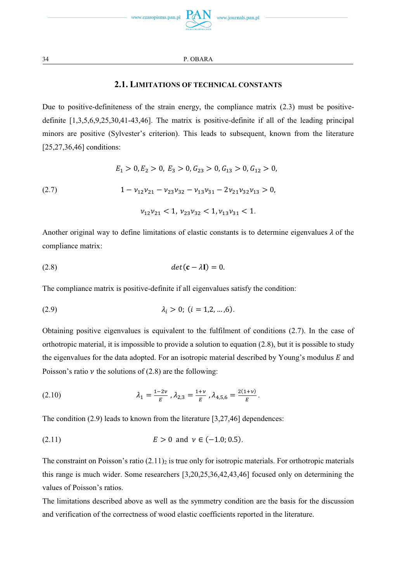

## **2.1. LIMITATIONS OF TECHNICAL CONSTANTS**

Due to positive-definiteness of the strain energy, the compliance matrix (2.3) must be positivedefinite [1,3,5,6,9,25,30,41-43,46]. The matrix is positive-definite if all of the leading principal minors are positive (Sylvester's criterion). This leads to subsequent, known from the literature [25,27,36,46] conditions:

(2.7) 
$$
E_1 > 0, E_2 > 0, E_3 > 0, G_{23} > 0, G_{13} > 0, G_{12} > 0,
$$

$$
1 - \nu_{12}\nu_{21} - \nu_{23}\nu_{32} - \nu_{13}\nu_{31} - 2\nu_{21}\nu_{32}\nu_{13} > 0,
$$

$$
\nu_{12}\nu_{21} < 1, \nu_{23}\nu_{32} < 1, \nu_{13}\nu_{31} < 1.
$$

Another original way to define limitations of elastic constants is to determine eigenvalues  $\lambda$  of the compliance matrix:

$$
(2.8) \t\t det(\mathbf{c} - \lambda \mathbf{I}) = 0.
$$

The compliance matrix is positive-definite if all eigenvalues satisfy the condition:

(2.9) 
$$
\lambda_i > 0; (i = 1, 2, ..., 6).
$$

Obtaining positive eigenvalues is equivalent to the fulfilment of conditions (2.7). In the case of orthotropic material, it is impossible to provide a solution to equation (2.8), but it is possible to study the eigenvalues for the data adopted. For an isotropic material described by Young's modulus  $E$  and Poisson's ratio  $\nu$  the solutions of (2.8) are the following:

(2.10) 
$$
\lambda_1 = \frac{1-2\nu}{E}, \lambda_{2,3} = \frac{1+\nu}{E}, \lambda_{4,5,6} = \frac{2(1+\nu)}{E}.
$$

The condition (2.9) leads to known from the literature [3,27,46] dependences:

(2.11) 
$$
E > 0
$$
 and  $\nu \in (-1.0; 0.5)$ .

The constraint on Poisson's ratio  $(2.11)_2$  is true only for isotropic materials. For orthotropic materials this range is much wider. Some researchers [3,20,25,36,42,43,46] focused only on determining the values of Poisson's ratios.

The limitations described above as well as the symmetry condition are the basis for the discussion and verification of the correctness of wood elastic coefficients reported in the literature.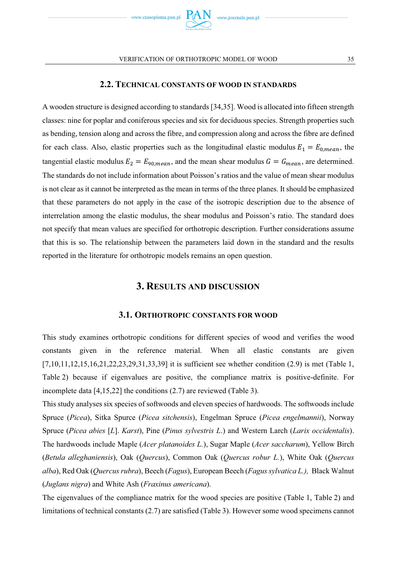

### **2.2. TECHNICAL CONSTANTS OF WOOD IN STANDARDS**

A wooden structure is designed according to standards [34,35]. Wood is allocated into fifteen strength classes: nine for poplar and coniferous species and six for deciduous species. Strength properties such as bending, tension along and across the fibre, and compression along and across the fibre are defined for each class. Also, elastic properties such as the longitudinal elastic modulus  $E_1 = E_{0,mean}$ , the tangential elastic modulus  $E_2 = E_{90,mean}$ , and the mean shear modulus  $G = G_{mean}$ , are determined. The standards do not include information about Poisson's ratios and the value of mean shear modulus is not clear as it cannot be interpreted as the mean in terms of the three planes. It should be emphasized that these parameters do not apply in the case of the isotropic description due to the absence of interrelation among the elastic modulus, the shear modulus and Poisson's ratio. The standard does not specify that mean values are specified for orthotropic description. Further considerations assume that this is so. The relationship between the parameters laid down in the standard and the results reported in the literature for orthotropic models remains an open question.

### **3. RESULTS AND DISCUSSION**

### **3.1. ORTHOTROPIC CONSTANTS FOR WOOD**

This study examines orthotropic conditions for different species of wood and verifies the wood constants given in the reference material. When all elastic constants are given [7,10,11,12,15,16,21,22,23,29,31,33,39] it is sufficient see whether condition (2.9) is met (Table 1, Table 2) because if eigenvalues are positive, the compliance matrix is positive-definite. For incomplete data [4,15,22] the conditions (2.7) are reviewed (Table 3).

This study analyses six species of softwoods and eleven species of hardwoods. The softwoods include Spruce (*Picea*), Sitka Spurce (*Picea sitchensis*), Engelman Spruce (*Picea engelmannii*), Norway Spruce (*Picea abies* [*L*]. *Karst*), Pine (*Pinus sylvestris L*.) and Western Larch (*Larix occidentalis*). The hardwoods include Maple (*Acer platanoides L.*), Sugar Maple (*Acer saccharum*), Yellow Birch (*Betula alleghaniensis*), Oak (*Quercus*), Common Oak (*Quercus robur L.*), White Oak (*Quercus alba*), Red Oak (*Quercus rubra*), Beech (*Fagus*), European Beech (*Fagus sylvatica L.),* Black Walnut (*Juglans nigra*) and White Ash (*Fraxinus americana*).

The eigenvalues of the compliance matrix for the wood species are positive (Table 1, Table 2) and limitations of technical constants (2.7) are satisfied (Table 3). However some wood specimens cannot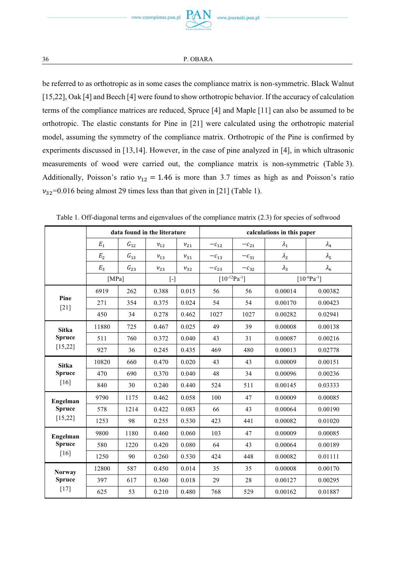be referred to as orthotropic as in some cases the compliance matrix is non-symmetric. Black Walnut [15,22], Oak [4] and Beech [4] were found to show orthotropic behavior. If the accuracy of calculation terms of the compliance matrices are reduced, Spruce [4] and Maple [11] can also be assumed to be orthotropic. The elastic constants for Pine in [21] were calculated using the orthotropic material model, assuming the symmetry of the compliance matrix. Orthotropic of the Pine is confirmed by experiments discussed in [13,14]. However, in the case of pine analyzed in [4], in which ultrasonic measurements of wood were carried out, the compliance matrix is non-symmetric (Table 3). Additionally, Poisson's ratio  $v_{12} = 1.46$  is more than 3.7 times as high as and Poisson's ratio  $v_{32}$ =0.016 being almost 29 times less than that given in [21] (Table 1).

|                |                |                 | data found in the literature |          | calculations in this paper |           |               |                    |  |  |
|----------------|----------------|-----------------|------------------------------|----------|----------------------------|-----------|---------------|--------------------|--|--|
|                | $E_{1}$        | ${\cal G}_{12}$ | $v_{12}$                     | $v_{21}$ | $-c_{12}$                  | $-c_{21}$ | $\lambda_1$   | $\lambda_4$        |  |  |
|                | E <sub>2</sub> | $G_{13}$        | $v_{13}$                     | $v_{31}$ | $-c_{13}$                  | $-c_{31}$ | $\lambda_{2}$ | $\lambda_5$        |  |  |
|                | $E_3$          | ${\cal G}_{23}$ | $v_{23}$                     | $v_{32}$ | $-c_{23}$                  | $-c_{32}$ | $\lambda_3$   | $\lambda_6$        |  |  |
|                | [MPa]          |                 | $\lceil - \rceil$            |          | $[10^{-12}Pa^{-1}]$        |           |               | $[10^{-6}Pa^{-1}]$ |  |  |
|                | 6919           | 262             | 0.388                        | 0.015    | 56                         | 56        | 0.00014       | 0.00382            |  |  |
| Pine<br>$[21]$ | 271            | 354             | 0.375                        | 0.024    | 54                         | 54        | 0.00170       | 0.00423            |  |  |
|                | 450            | 34              | 0.278                        | 0.462    | 1027                       | 1027      | 0.00282       | 0.02941            |  |  |
| <b>Sitka</b>   | 11880          | 725             | 0.467                        | 0.025    | 49                         | 39        | 0.00008       | 0.00138            |  |  |
| <b>Spruce</b>  | 511            | 760             | 0.372                        | 0.040    | 43                         | 31        | 0.00087       | 0.00216            |  |  |
| [15, 22]       | 927            | 36              | 0.245                        | 0.435    | 469                        | 480       | 0.00013       | 0.02778            |  |  |
| <b>Sitka</b>   | 10820          | 660             | 0.470                        | 0.020    | 43                         | 43        | 0.00009       | 0.00151            |  |  |
| <b>Spruce</b>  | 470            | 690             | 0.370                        | 0.040    | 48                         | 34        | 0.00096       | 0.00236            |  |  |
| [16]           | 840            | 30              | 0.240                        | 0.440    | 524                        | 511       | 0.00145       | 0.03333            |  |  |
| Engelman       | 9790           | 1175            | 0.462                        | 0.058    | 100                        | 47        | 0.00009       | 0.00085            |  |  |
| <b>Spruce</b>  | 578            | 1214            | 0.422                        | 0.083    | 66                         | 43        | 0.00064       | 0.00190            |  |  |
| [15, 22]       | 1253           | 98              | 0.255                        | 0.530    | 423                        | 441       | 0.00082       | 0.01020            |  |  |
| Engelman       | 9800           | 1180            | 0.460                        | 0.060    | 103                        | 47        | 0.00009       | 0.00085            |  |  |
| <b>Spruce</b>  | 580            | 1220            | 0.420                        | 0.080    | 64                         | 43        | 0.00064       | 0.00189            |  |  |
| [16]           | 1250           | 90              | 0.260                        | 0.530    | 424                        | 448       | 0.00082       | 0.01111            |  |  |
| <b>Norway</b>  | 12800          | 587             | 0.450                        | 0.014    | 35                         | 35        | 0.00008       | 0.00170            |  |  |
| <b>Spruce</b>  | 397            | 617             | 0.360                        | 0.018    | 29                         | 28        | 0.00127       | 0.00295            |  |  |
| $[17]$         | 625            | 53              | 0.210                        | 0.480    | 768                        | 529       | 0.00162       | 0.01887            |  |  |

Table 1. Off-diagonal terms and eigenvalues of the compliance matrix (2.3) for species of softwood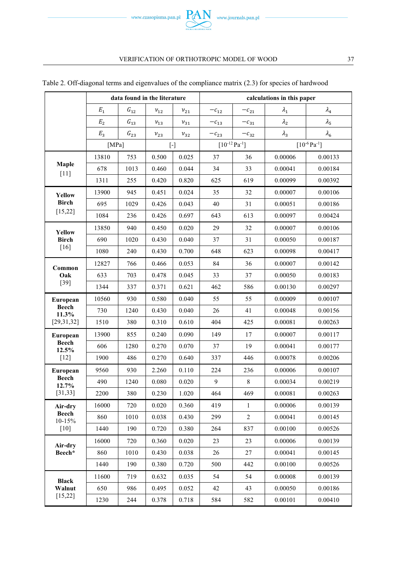

|                          |       | data found in the literature |            |          | calculations in this paper |                      |             |                            |  |  |  |
|--------------------------|-------|------------------------------|------------|----------|----------------------------|----------------------|-------------|----------------------------|--|--|--|
|                          | $E_1$ | ${\cal G}_{12}$              | $\nu_{12}$ | $v_{21}$ | $-c_{12}$                  | $-c_{21}$            | $\lambda_1$ | $\lambda_4$                |  |  |  |
|                          | $E_2$ | $G_{13}$                     | $v_{13}$   | $v_{31}$ | $-c_{13}$                  | $-c_{31}$            | $\lambda_2$ | $\lambda_5$                |  |  |  |
|                          | $E_3$ | $G_{23}$                     | $v_{23}$   | $v_{32}$ | $-c_{23}$                  | $-c_{32}$            | $\lambda_3$ | $\lambda_6$                |  |  |  |
|                          | [MPa] |                              | $[\cdot]$  |          |                            | $[10^{-12} Pa^{-1}]$ |             | $[10^{-6} \text{Pa}^{-1}]$ |  |  |  |
|                          | 13810 | 753                          | 0.500      | 0.025    | 37                         | 36                   | 0.00006     | 0.00133                    |  |  |  |
| Maple<br>$[11]$          | 678   | 1013                         | 0.460      | 0.044    | 34                         | 33                   | 0.00041     | 0.00184                    |  |  |  |
|                          | 1311  | 255                          | 0.420      | 0.820    | 625                        | 619                  | 0.00099     | 0.00392                    |  |  |  |
| <b>Yellow</b>            | 13900 | 945                          | 0.451      | 0.024    | 35                         | 32                   | 0.00007     | 0.00106                    |  |  |  |
| <b>Birch</b>             | 695   | 1029                         | 0.426      | 0.043    | 40                         | 31                   | 0.00051     | 0.00186                    |  |  |  |
| [15, 22]                 | 1084  | 236                          | 0.426      | 0.697    | 643                        | 613                  | 0.00097     | 0.00424                    |  |  |  |
| Yellow                   | 13850 | 940                          | 0.450      | 0.020    | 29                         | 32                   | 0.00007     | 0.00106                    |  |  |  |
| Birch                    | 690   | 1020                         | 0.430      | 0.040    | 37                         | 31                   | 0.00050     | 0.00187                    |  |  |  |
| [16]                     | 1080  | 240                          | 0.430      | 0.700    | 648                        | 623                  | 0.00098     | 0.00417                    |  |  |  |
| Common                   | 12827 | 766                          | 0.466      | 0.053    | 84                         | 36                   | 0.00007     | 0.00142                    |  |  |  |
| Oak                      | 633   | 703                          | 0.478      | 0.045    | 33                         | 37                   | 0.00050     | 0.00183                    |  |  |  |
| $[39]$                   | 1344  | 337                          | 0.371      | 0.621    | 462                        | 586                  | 0.00130     | 0.00297                    |  |  |  |
| European                 | 10560 | 930                          | 0.580      | 0.040    | 55                         | 55                   | 0.00009     | 0.00107                    |  |  |  |
| <b>Beech</b><br>11.3%    | 730   | 1240                         | 0.430      | 0.040    | 26                         | 41                   | 0.00048     | 0.00156                    |  |  |  |
| [29,31,32]               | 1510  | 380                          | 0.310      | 0.610    | 404                        | 425                  | 0.00081     | 0.00263                    |  |  |  |
| European                 | 13900 | 855                          | 0.240      | 0.090    | 149                        | 17                   | 0.00007     | 0.00117                    |  |  |  |
| <b>Beech</b><br>12.5%    | 606   | 1280                         | 0.270      | 0.070    | 37                         | 19                   | 0.00041     | 0.00177                    |  |  |  |
| [12]                     | 1900  | 486                          | 0.270      | 0.640    | 337                        | 446                  | 0.00078     | 0.00206                    |  |  |  |
| European                 | 9560  | 930                          | 2.260      | 0.110    | 224                        | 236                  | 0.00006     | 0.00107                    |  |  |  |
| <b>Beech</b><br>12.7%    | 490   | 1240                         | 0.080      | 0.020    | 9                          | 8                    | 0.00034     | 0.00219                    |  |  |  |
| [31, 33]                 | 2200  | 380                          | 0.230      | 1.020    | 464                        | 469                  | 0.00081     | 0.00263                    |  |  |  |
| Air-dry                  | 16000 | 720                          | 0.020      | 0.360    | 419                        | $\mathbf{1}$         | 0.00006     | 0.00139                    |  |  |  |
| <b>Beech</b><br>$10-15%$ | 860   | 1010                         | 0.038      | 0.430    | 299                        | $\overline{2}$       | 0.00041     | 0.00145                    |  |  |  |
| [10]                     | 1440  | 190                          | 0.720      | 0.380    | 264                        | 837                  | 0.00100     | 0.00526                    |  |  |  |
| Air-dry                  | 16000 | 720                          | 0.360      | 0.020    | 23                         | 23                   | 0.00006     | 0.00139                    |  |  |  |
| Beech*                   | 860   | 1010                         | 0.430      | 0.038    | 26                         | 27                   | 0.00041     | 0.00145                    |  |  |  |
|                          | 1440  | 190                          | 0.380      | 0.720    | 500                        | 442                  | 0.00100     | 0.00526                    |  |  |  |
| <b>Black</b>             | 11600 | 719                          | 0.632      | 0.035    | 54                         | 54                   | 0.00008     | 0.00139                    |  |  |  |
| Walnut                   | 650   | 986                          | 0.495      | 0.052    | 42                         | 43                   | 0.00050     | 0.00186                    |  |  |  |
| [15, 22]                 | 1230  | 244                          | 0.378      | 0.718    | 584                        | 582                  | 0.00101     | 0.00410                    |  |  |  |

### Table 2. Off-diagonal terms and eigenvalues of the compliance matrix (2.3) for species of hardwood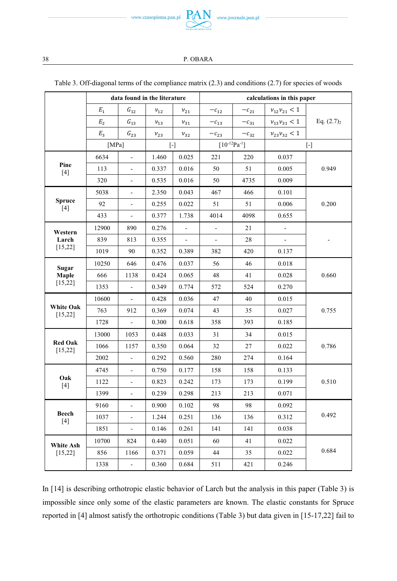

|                              |                | data found in the literature |            |                          | calculations in this paper |           |                          |              |  |  |
|------------------------------|----------------|------------------------------|------------|--------------------------|----------------------------|-----------|--------------------------|--------------|--|--|
|                              | $E_{1}$        | $G_{12}$                     | $\nu_{12}$ | $v_{21}$                 | $-c_{12}$                  | $-c_{21}$ | $v_{12}v_{21} < 1$       |              |  |  |
|                              | E <sub>2</sub> | $G_{13}$                     | $v_{13}$   | $v_{31}$                 | $-c_{13}$                  | $-c_{31}$ | $\nu_{13}\nu_{31} < 1$   | Eq. $(2.7)2$ |  |  |
|                              | $E_3$          | $G_{23}$                     | $v_{23}$   | $\nu_{32}$               | $-c_{23}$                  | $-c_{32}$ | $v_{23}v_{32}$ < 1       |              |  |  |
|                              | [ $MPa$ ]      |                              |            | $\lceil - \rceil$        | $[10^{-12}Pa^{-1}]$        |           |                          | $[\cdot]$    |  |  |
|                              | 6634           | $\overline{a}$               | 1.460      | 0.025                    | 221                        | 220       | 0.037                    |              |  |  |
| Pine<br>[4]                  | 113            | $\blacksquare$               | 0.337      | 0.016                    | 50                         | 51        | 0.005                    | 0.949        |  |  |
|                              | 320            | $\overline{a}$               | 0.535      | 0.016                    | 50                         | 4735      | 0.009                    |              |  |  |
|                              | 5038           | $\overline{a}$               | 2.350      | 0.043                    | 467                        | 466       | 0.101                    |              |  |  |
| <b>Spruce</b><br>[4]         | 92             | $\overline{a}$               | 0.255      | 0.022                    | 51                         | 51        | 0.006                    | 0.200        |  |  |
|                              | 433            | L.                           | 0.377      | 1.738                    | 4014                       | 4098      | 0.655                    |              |  |  |
| Western                      | 12900          | 890                          | 0.276      |                          |                            | 21        | $\frac{1}{2}$            |              |  |  |
| Larch                        | 839            | 813                          | 0.355      | $\overline{\phantom{a}}$ | $\overline{\phantom{a}}$   | 28        | $\overline{\phantom{a}}$ |              |  |  |
| [15, 22]                     | 1019           | 90                           | 0.352      | 0.389                    | 382                        | 420       | 0.137                    |              |  |  |
| Sugar                        | 10250          | 646                          | 0.476      | 0.037                    | 56                         | 46        | 0.018                    |              |  |  |
| Maple                        | 666            | 1138                         | 0.424      | 0.065                    | 48                         | 41        | 0.028                    | 0.660        |  |  |
| [15, 22]                     | 1353           | $\overline{a}$               | 0.349      | 0.774                    | 572                        | 524       | 0.270                    |              |  |  |
|                              | 10600          | $\overline{a}$               | 0.428      | 0.036                    | 47                         | 40        | 0.015                    |              |  |  |
| <b>White Oak</b><br>[15, 22] | 763            | 912                          | 0.369      | 0.074                    | 43                         | 35        | 0.027                    | 0.755        |  |  |
|                              | 1728           | $\overline{\phantom{a}}$     | 0.300      | 0.618                    | 358                        | 393       | 0.185                    |              |  |  |
|                              | 13000          | 1053                         | 0.448      | 0.033                    | 31                         | 34        | 0.015                    |              |  |  |
| <b>Red Oak</b><br>[15, 22]   | 1066           | 1157                         | 0.350      | 0.064                    | 32                         | 27        | 0.022                    | 0.786        |  |  |
|                              | 2002           | $\overline{a}$               | 0.292      | 0.560                    | 280                        | 274       | 0.164                    |              |  |  |
|                              | 4745           | $\frac{1}{2}$                | 0.750      | 0.177                    | 158                        | 158       | 0.133                    |              |  |  |
| Oak<br>[4]                   | 1122           | $\blacksquare$               | 0.823      | 0.242                    | 173                        | 173       | 0.199                    | 0.510        |  |  |
|                              | 1399           | $\overline{a}$               | 0.239      | 0.298                    | 213                        | 213       | 0.071                    |              |  |  |
|                              | 9160           | $\overline{a}$               | 0.900      | 0.102                    | 98                         | 98        | 0.092                    |              |  |  |
| <b>Beech</b><br>$[4]$        | 1037           | $\frac{1}{2}$                | 1.244      | 0.251                    | 136                        | 136       | 0.312                    | 0.492        |  |  |
|                              | 1851           | $\overline{\phantom{a}}$     | 0.146      | 0.261                    | 141                        | 141       | 0.038                    |              |  |  |
| White Ash                    | 10700          | 824                          | 0.440      | 0.051                    | 60                         | 41        | 0.022                    |              |  |  |
| [15, 22]                     | 856            | 1166                         | 0.371      | 0.059                    | 44                         | 35        | 0.022                    | 0.684        |  |  |
|                              | 1338           | $\overline{\phantom{a}}$     | 0.360      | 0.684                    | 511                        | 421       | 0.246                    |              |  |  |

#### Table 3. Off-diagonal terms of the compliance matrix (2.3) and conditions (2.7) for species of woods

In [14] is describing orthotropic elastic behavior of Larch but the analysis in this paper (Table 3) is impossible since only some of the elastic parameters are known. The elastic constants for Spruce reported in [4] almost satisfy the orthotropic conditions (Table 3) but data given in [15-17,22] fail to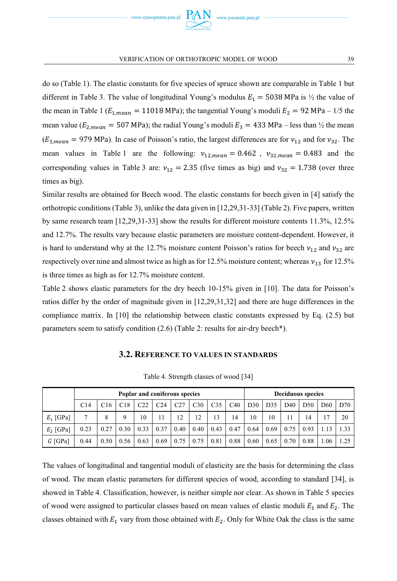do so (Table 1). The elastic constants for five species of spruce shown are comparable in Table 1 but different in Table 3. The value of longitudinal Young's modulus  $E_1 = 5038$  MPa is  $\frac{1}{2}$  the value of the mean in Table 1 ( $E_{1,mean} = 11018$  MPa); the tangential Young's moduli  $E_2 = 92$  MPa – 1/5 the mean value ( $E_{2,mean} = 507$  MPa); the radial Young's moduli  $E_3 = 433$  MPa – less than  $\frac{1}{2}$  the mean  $(E_{3,mean} = 979 \text{ MPa})$ . In case of Poisson's ratio, the largest differences are for  $v_{12}$  and for  $v_{32}$ . The mean values in Table 1 are the following:  $v_{12,mean} = 0.462$ ,  $v_{32,mean} = 0.483$  and the corresponding values in Table 3 are:  $v_{12} = 2.35$  (five times as big) and  $v_{32} = 1.738$  (over three times as big).

Similar results are obtained for Beech wood. The elastic constants for beech given in [4] satisfy the orthotropic conditions (Table 3), unlike the data given in [12,29,31-33] (Table 2). Five papers, written by same research team [12,29,31-33] show the results for different moisture contents 11.3%, 12.5% and 12.7%. The results vary because elastic parameters are moisture content-dependent. However, it is hard to understand why at the 12.7% moisture content Poisson's ratios for beech  $v_{12}$  and  $v_{32}$  are respectively over nine and almost twice as high as for 12.5% moisture content; whereas  $v_{13}$  for 12.5% is three times as high as for 12.7% moisture content.

Table 2 shows elastic parameters for the dry beech 10-15% given in [10]. The data for Poisson's ratios differ by the order of magnitude given in [12,29,31,32] and there are huge differences in the compliance matrix. In [10] the relationship between elastic constants expressed by Eq. (2.5) but parameters seem to satisfy condition (2.6) (Table 2: results for air-dry beech\*).

### **3.2. REFERENCE TO VALUES IN STANDARDS**

|             | Poplar and coniferous species |                 |      |      |                 |      |      |      |      | <b>Deciduous species</b> |      |                 |      |                 |      |
|-------------|-------------------------------|-----------------|------|------|-----------------|------|------|------|------|--------------------------|------|-----------------|------|-----------------|------|
|             | C14                           | C <sub>16</sub> | C18  | C22  | C <sub>24</sub> | C27  | C30  | C35  | C40  | D30                      | D35  | D <sub>40</sub> | D50  | D <sub>60</sub> | D70  |
| $E_1$ [GPa] |                               |                 | Q    | 10   |                 |      | 12   | 13   | 14   | 10                       | 10   |                 | 14   |                 | 20   |
| $E_2$ [GPa] | 0.23                          | 0.27            | 0.30 | 0.33 | 0.37            | 0.40 | 0.40 | 0.43 | 0.47 | 0.64                     | 0.69 | 0.75            | 0.93 |                 | 1.33 |
| $G$ [GPa]   | 0.44                          | 0.50            | 0.56 | 0.63 | 0.69            | 0.75 | 0.75 | 0.81 | 0.88 | 0.60                     | 0.65 | 0.70            | 0.88 | 1.06            | 1.25 |

Table 4. Strength classes of wood [34]

The values of longitudinal and tangential moduli of elasticity are the basis for determining the class of wood. The mean elastic parameters for different species of wood, according to standard [34], is showed in Table 4. Classification, however, is neither simple nor clear. As shown in Table 5 species of wood were assigned to particular classes based on mean values of elastic moduli  $E_1$  and  $E_2$ . The classes obtained with  $E_1$  vary from those obtained with  $E_2$ . Only for White Oak the class is the same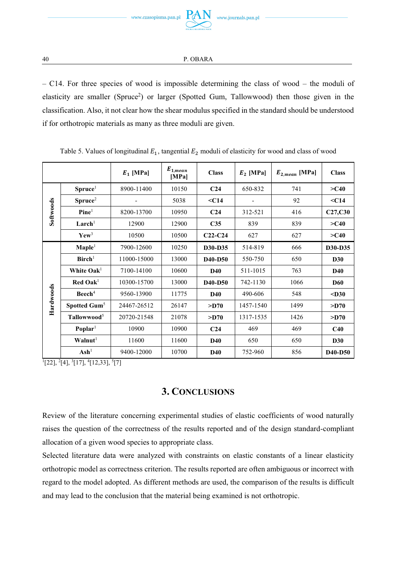

– C14. For three species of wood is impossible determining the class of wood – the moduli of elasticity are smaller (Spruce<sup>2</sup>) or larger (Spotted Gum, Tallowwood) then those given in the classification. Also, it not clear how the shear modulus specified in the standard should be understood if for orthotropic materials as many as three moduli are given.

|           |                                 | $E_1$ [MPa] | $E_{1,mean}$<br>[MPa] | <b>Class</b>                     | $E_2$ [MPa] | $E_{2,mean}$ [MPa] | <b>Class</b>                     |
|-----------|---------------------------------|-------------|-----------------------|----------------------------------|-------------|--------------------|----------------------------------|
|           | $~{\rm Spruce}^1$               | 8900-11400  | 10150                 | C <sub>24</sub>                  | 650-832     | 741                | $>\sim$ C40                      |
|           | Spruce <sup>2</sup>             |             | 5038                  | $<$ C14                          |             | 92                 | $<$ C14                          |
| Softwoods | $\mathbf{Plane}^1$              | 8200-13700  | 10950                 | C <sub>24</sub>                  | 312-521     | 416                | C27,C30                          |
|           | Larch <sup>1</sup>              | 12900       | 12900                 | C <sub>35</sub>                  | 839         | 839                | $>$ C40                          |
|           | $\mathbf{Y}$ ew <sup>3</sup>    | 10500       | 10500                 | $C22-C24$                        | 627         | 627                | $>\sim$ C40                      |
|           | $\mathbf{Maple}^1$              | 7900-12600  | 10250                 | D30-D35                          | 514-819     | 666                | D <sub>30</sub> -D <sub>35</sub> |
|           | $B$ irch <sup>1</sup>           | 11000-15000 | 13000                 | D <sub>40</sub> -D <sub>50</sub> | 550-750     | 650                | <b>D30</b>                       |
|           | White $\mathbf{O}a\mathbf{k}^1$ | 7100-14100  | 10600                 | D40                              | 511-1015    | 763                | <b>D40</b>                       |
|           | $\bf{Red}$ Oak <sup>1</sup>     | 10300-15700 | 13000                 | D <sub>40</sub> -D <sub>50</sub> | 742-1130    | 1066               | <b>D60</b>                       |
|           | Beech <sup>4</sup>              | 9560-13900  | 11775                 | D <sub>40</sub>                  | 490-606     | 548                | $<$ D30                          |
| Hardwoods | Spotted Gum <sup>5</sup>        | 24467-26512 | 26147                 | >1070                            | 1457-1540   | 1499               | $>$ D70                          |
|           | Tallowwood <sup>5</sup>         | 20720-21548 | 21078                 | $>$ D70                          | 1317-1535   | 1426               | $>$ D70                          |
|           | $\bf Poplar1$                   | 10900       | 10900                 | C <sub>24</sub>                  | 469         | 469                | C40                              |
|           | $\mathbf{W}$ alnut <sup>1</sup> | 11600       | 11600                 | D40                              | 650         | 650                | <b>D30</b>                       |
|           | Ash <sup>1</sup>                | 9400-12000  | 10700                 | D40                              | 752-960     | 856                | D <sub>40</sub> -D <sub>50</sub> |

Table 5. Values of longitudinal  $E_1$ , tangential  $E_2$  moduli of elasticity for wood and class of wood

 $^{1}[22], {^{2}[4]}, {^{3}[17]}, {^{4}[12,33]}, {^{5}[7]}$ 

## **3. CONCLUSIONS**

Review of the literature concerning experimental studies of elastic coefficients of wood naturally raises the question of the correctness of the results reported and of the design standard-compliant allocation of a given wood species to appropriate class.

Selected literature data were analyzed with constraints on elastic constants of a linear elasticity orthotropic model as correctness criterion. The results reported are often ambiguous or incorrect with regard to the model adopted. As different methods are used, the comparison of the results is difficult and may lead to the conclusion that the material being examined is not orthotropic.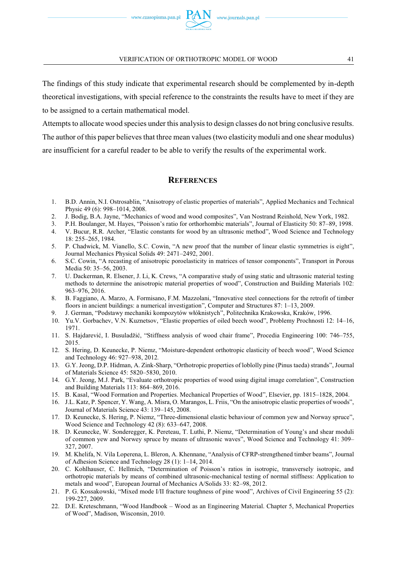The findings of this study indicate that experimental research should be complemented by in-depth theoretical investigations, with special reference to the constraints the results have to meet if they are to be assigned to a certain mathematical model.

Attempts to allocate wood species under this analysis to design classes do not bring conclusive results. The author of this paper believes that three mean values (two elasticity moduli and one shear modulus) are insufficient for a careful reader to be able to verify the results of the experimental work.

### **REFERENCES**

- 1. B.D. Annin, N.I. Ostrosablin, "Anisotropy of elastic properties of materials", Applied Mechanics and Technical Physic 49 (6): 998–1014, 2008.
- 2. J. Bodig, B.A. Jayne, "Mechanics of wood and wood composites", Van Nostrand Reinhold, New York, 1982.
- 3. P.H. Boulanger, M. Hayes, "Poisson's ratio for orthorhombic materials", Journal of Elasticity 50: 87–89, 1998.
- 4. V. Bucur, R.R. Archer, "Elastic constants for wood by an ultrasonic method", Wood Science and Technology 18: 255–265, 1984.
- 5. P. Chadwick, M. Vianello, S.C. Cowin, "A new proof that the number of linear elastic symmetries is eight", Journal Mechanics Physical Solids 49: 2471–2492, 2001.
- 6. S.C. Cowin, "A recasting of anisotropic poroelasticity in matrices of tensor components", Transport in Porous Media 50: 35–56, 2003.
- 7. U. Dackerman, R. Elsener, J. Li, K. Crews, "A comparative study of using static and ultrasonic material testing methods to determine the anisotropic material properties of wood", Construction and Building Materials 102: 963–976, 2016.
- 8. B. Faggiano, A. Marzo, A. Formisano, F.M. Mazzolani, "Innovative steel connections for the retrofit of timber floors in ancient buildings: a numerical investigation", Computer and Structures 87: 1–13, 2009.
- 9. J. German, "Podstawy mechaniki kompozytów włóknistych", Politechnika Krakowska, Kraków, 1996.
- 10. Yu.V. Gorbachev, V.N. Kuznetsov, "Elastic properties of oiled beech wood", Problemy Prochnosti 12: 14–16, 1971.
- 11. S. Hajdarević, I. Busuladžić, "Stiffness analysis of wood chair frame", Procedia Engineering 100: 746–755, 2015.
- 12. S. Hering, D. Keunecke, P. Niemz, "Moisture-dependent orthotropic elasticity of beech wood", Wood Science and Technology 46: 927*–*938, 2012*.*
- 13. G.Y. Jeong, D.P. Hidman, A. Zink-Sharp, "Orthotropic properties of loblolly pine (Pinus taeda) strands", Journal of Materials Science 45: 5820–5830, 2010.
- 14. G.Y. Jeong, M.J. Park, "Evaluate orthotropic properties of wood using digital image correlation", Construction and Building Materials 113: 864–869, 2016.
- 15. B. Kasal, "Wood Formation and Properties. Mechanical Properties of Wood", Elsevier, pp. 1815–1828, 2004.
- 16. J.L. Katz, P. Spencer, Y. Wang, A. Misra, O. Marangos, L. Friis, "On the anisotropic elastic properties of woods", Journal of Materials Science 43: 139–145, 2008.
- 17. D. Keunecke, S. Hering, P. Niemz, "Three-dimensional elastic behaviour of common yew and Norway spruce", Wood Science and Technology 42 (8): 633–647, 2008.
- 18. D. Keunecke, W. Sonderegger, K. Pereteau, T. Luthi, P. Niemz, "Determination of Young's and shear moduli of common yew and Norwey spruce by means of ultrasonic waves", Wood Science and Technology 41: 309*–* 327, 2007.
- 19. M. Khelifa, N. Vila Loperena, L. Bleron, A. Khennane, "Analysis of CFRP-strengthened timber beams", Journal of Adhesion Science and Technology 28 (1): 1–14, 2014.
- 20. C. Kohlhauser, C. Hellmich, "Determination of Poisson's ratios in isotropic, transversely isotropic, and orthotropic materials by means of combined ultrasonic-mechanical testing of normal stiffness: Application to metals and wood", European Journal of Mechanics A/Solids 33: 82–98, 2012.
- 21. P. G. Kossakowski, "Mixed mode I/II fracture toughness of pine wood", Archives of Civil Engineering 55 (2): 199-227, 2009.
- 22. D.E. Kreteschmann, "Wood Handbook Wood as an Engineering Material. Chapter 5, Mechanical Properties of Wood", Madison, Wisconsin, 2010.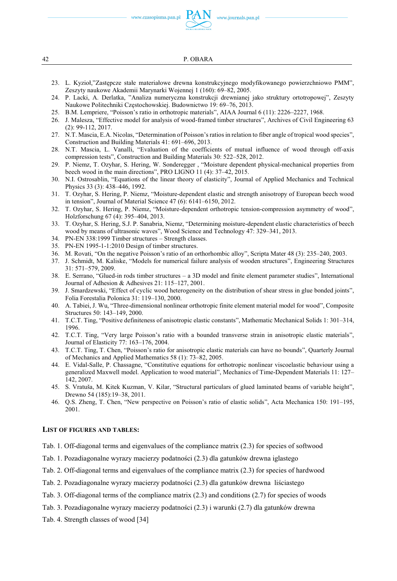www.czasopisma.pan.pl

www.journals.pan.pl



42 P. OBARA

- 23. L. Kyzioł,"Zastępcze stałe materiałowe drewna konstrukcyjnego modyfikowanego powierzchniowo PMM", Zeszyty naukowe Akademii Marynarki Wojennej 1 (160): 69–82, 2005.
- 24. P. Lacki, A. Derlatka, "Analiza numeryczna konstrukcji drewnianej jako struktury ortotropowej", Zeszyty Naukowe Politechniki Częstochowskiej. Budownictwo 19: 69–76, 2013.
- 25. B.M. Lempriere, "Poisson's ratio in orthotropic materials", AIAA Journal 6 (11): 2226–2227, 1968.
- 26. J. Malesza, "Effective model for analysis of wood-framed timber structures", Archives of Civil Engineering 63 (2): 99-112, 2017.
- 27. N.T. Mascia, E.A. Nicolas, "Determination of Poisson's ratios in relation to fiber angle of tropical wood species", Construction and Building Materials 41: 691–696, 2013.
- 28. N.T. Mascia, L. Vanalli, "Evaluation of the coefficients of mutual influence of wood through off-axis compression tests", Construction and Building Materials 30: 522–528, 2012.
- 29. P. Niemz, T. Ozyhar, S. Hering, W. Sonderegger , "Moisture dependent physical-mechanical properties from beech wood in the main directions", PRO LIGNO 11 (4): 37–42, 2015.
- 30. N.I. Ostrosablin, "Equations of the linear theory of elasticity", Journal of Applied Mechanics and Technical Physics 33 (3): 438–446, 1992.
- 31. T. Ozyhar, S. Hering, P. Niemz, "Moisture-dependent elastic and strength anisotropy of European beech wood in tension", Journal of Material Science 47 (6): 6141–6150, 2012.
- 32. T. Ozyhar, S. Hering, P. Niemz, "Moisture-dependent orthotropic tension-compression asymmetry of wood", Holzforschung 67 (4): 395–404, 2013.
- 33. T. Ozyhar, S. Hering, S.J. P. Sanabria, Niemz, "Determining moisture-dependent elastic characteristics of beech wood by means of ultrasonic waves", Wood Science and Technology 47: 329*–*341, 2013.
- 34. PN-EN 338:1999 Timber structures Strength classes.
- 35. PN-EN 1995-1-1:2010 Design of timber structures.
- 36. M. Rovati, "On the negative Poisson's ratio of an orthorhombic alloy", Scripta Mater 48 (3): 235–240, 2003.
- 37. J. Schmidt, M. Kaliske, "Models for numerical failure analysis of wooden structures", Engineering Structures 31: 571–579, 2009.
- 38. E. Serrano, "Glued-in rods timber structures a 3D model and finite element parameter studies", International Journal of Adhesion & Adhesives 21: 115–127, 2001.
- 39. J. Smardzewski, "Effect of cyclic wood heterogeneity on the distribution of shear stress in glue bonded joints", Folia Forestalia Polonica 31: 119–130, 2000.
- 40. A. Tabiei, J. Wu, "Three-dimensional nonlinear orthotropic finite element material model for wood", Composite Structures 50: 143–149, 2000.
- 41. T.C.T. Ting, "Positive definiteness of anisotropic elastic constants", Mathematic Mechanical Solids 1: 301–314, 1996.
- 42. T.C.T. Ting, "Very large Poisson's ratio with a bounded transverse strain in anisotropic elastic materials", Journal of Elasticity 77: 163–176, 2004.
- 43. T.C.T. Ting, T. Chen, "Poisson's ratio for anisotropic elastic materials can have no bounds", Quarterly Journal of Mechanics and Applied Mathematics 58 (1): 73–82, 2005.
- 44. E. Vidal-Salle, P. Chassagne, "Constitutive equations for orthotropic nonlinear viscoelastic behaviour using a generalized Maxwell model. Application to wood material", Mechanics of Time-Dependent Materials 11: 127– 142, 2007.
- 45. S. Vratuša, M. Kitek Kuzman, V. Kilar, "Structural particulars of glued laminated beams of variable height", Drewno 54 (185):19–38, 2011.
- 46. Q.S. Zheng, T. Chen, "New perspective on Poisson's ratio of elastic solids", Acta Mechanica 150: 191–195, 2001.

### **LIST OF FIGURES AND TABLES:**

- Tab. 1. Off-diagonal terms and eigenvalues of the compliance matrix (2.3) for species of softwood
- Tab. 1. Pozadiagonalne wyrazy macierzy podatności (2.3) dla gatunków drewna iglastego
- Tab. 2. Off-diagonal terms and eigenvalues of the compliance matrix (2.3) for species of hardwood
- Tab. 2. Pozadiagonalne wyrazy macierzy podatności (2.3) dla gatunków drewna liściastego
- Tab. 3. Off-diagonal terms of the compliance matrix (2.3) and conditions (2.7) for species of woods
- Tab. 3. Pozadiagonalne wyrazy macierzy podatności (2.3) i warunki (2.7) dla gatunków drewna
- Tab. 4. Strength classes of wood [34]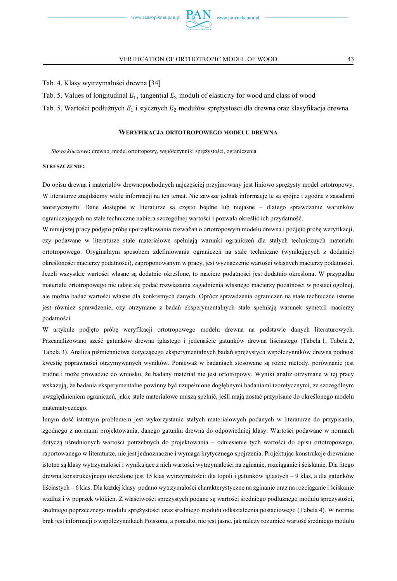

Tab. 4. Klasy wytrzymałości drewna [34]

- Tab. 5. Values of longitudinal  $E_1$ , tangential  $E_2$  moduli of elasticity for wood and class of wood
- Tab. 5. Wartości podłużnych  $E_1$  i stycznych  $E_2$  modułów sprężystości dla drewna oraz klasyfikacja drewna

#### **WERYFIKACJA ORTOTROPOWEGO MODELU DREWNA**

*Słowa kluczowe***:** drewno, model ortotropowy, współczynniki sprężystości, ograniczenia

#### **STRESZCZENIE:**

Do opisu drewna i materiałów drewnopochodnych najczęściej przyjmowany jest liniowo sprężysty model ortotropowy. W literaturze znajdziemy wiele informacji na ten temat. Nie zawsze jednak informacje te są spójne i zgodne z zasadami teoretycznymi. Dane dostępne w literaturze są często błędne lub niejasne – dlatego sprawdzanie warunków ograniczających na stałe techniczne nabiera szczególnej wartości i pozwala określić ich przydatność.

W niniejszej pracy podjęto próbę uporządkowania rozważań o ortotropowym modelu drewna i podjęto próbę weryfikacji, czy podawane w literaturze stałe materiałowe spełniają warunki ograniczeń dla stałych technicznych materiału ortotropowego. Oryginalnym sposobem zdefiniowania ograniczeń na stałe techniczne (wynikających z dodatniej określoności macierzy podatności), zaproponowanym w pracy, jest wyznaczenie wartości własnych macierzy podatności. Jeżeli wszystkie wartości własne są dodatnio określone, to macierz podatności jest dodatnio określona. W przypadku materiału ortotropowego nie udaje się podać rozwiązania zagadnienia własnego macierzy podatności w postaci ogólnej, ale można badać wartości własne dla konkretnych danych. Oprócz sprawdzenia ograniczeń na stałe techniczne istotne jest również sprawdzenie, czy otrzymane z badań eksperymentalnych stałe spełniają warunek symetrii macierzy podatności.

W artykule podjęto próbę weryfikacji ortotropowego modelu drewna na podstawie danych literaturowych. Przeanalizowano sześć gatunków drewna iglastego i jedenaście gatunków drewna liściastego (Tabela 1, Tabela 2, Tabela 3). Analiza piśmiennictwa dotyczącego eksperymentalnych badań sprężystych współczynników drewna podnosi kwestię poprawności otrzymywanych wyników. Ponieważ w badaniach stosowane są różne metody, porównanie jest trudne i może prowadzić do wniosku, że badany materiał nie jest ortotropowy. Wyniki analiz otrzymane w tej pracy wskazują, że badania eksperymentalne powinny być uzupełnione dogłębnymi badaniami teoretycznymi, ze szczególnym uwzględnieniem ograniczeń, jakie stałe materiałowe muszą spełnić, jeśli mają zostać przypisane do określonego modelu matematycznego.

Innym dość istotnym problemem jest wykorzystanie stałych materiałowych podanych w literaturze do przypisania, zgodnego z normami projektowania, danego gatunku drewna do odpowiedniej klasy. Wartości podawane w normach dotyczą uśrednionych wartości potrzebnych do projektowania – odniesienie tych wartości do opisu ortotropowego, raportowanego w literaturze, nie jest jednoznaczne i wymaga krytycznego spojrzenia. Projektując konstrukcje drewniane istotne są klasy wytrzymałości i wynikające z nich wartości wytrzymałości na zginanie, rozciąganie i ściskanie. Dla litego drewna konstrukcyjnego określone jest 15 klas wytrzymałości: dla topoli i gatunków iglastych – 9 klas, a dla gatunków liściastych – 6 klas. Dla każdej klasy podano wytrzymałości charakterystyczne na zginanie oraz na rozciąganie i ściskanie wzdłuż i w poprzek włókien. Z właściwości sprężystych podane są wartości średniego podłużnego modułu sprężystości, średniego poprzecznego modułu sprężystości oraz średniego modułu odkształcenia postaciowego (Tabela 4). W normie brak jest informacji o współczynnikach Poissona, a ponadto, nie jest jasne, jak należy rozumieć wartość średniego modułu